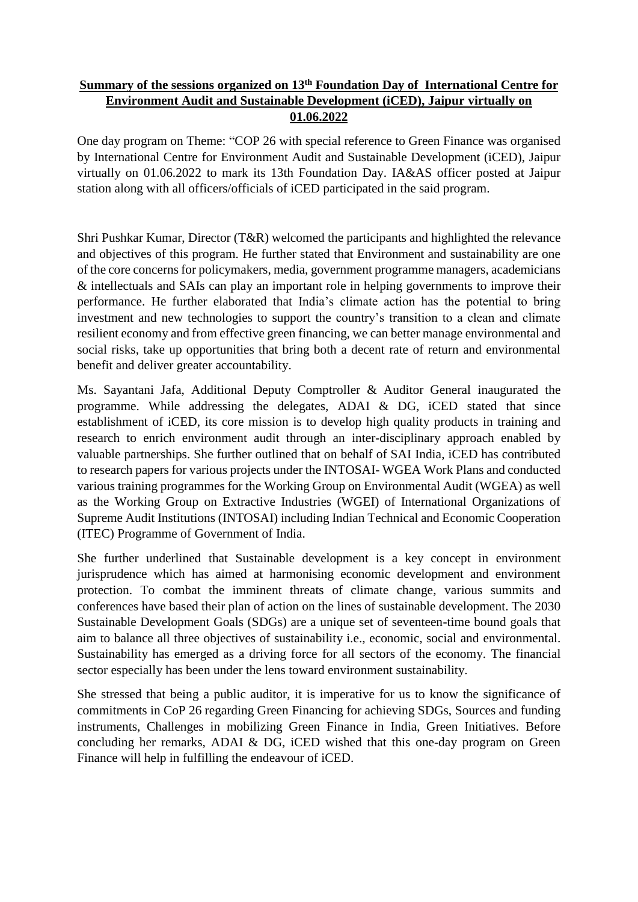# **Summary of the sessions organized on 13th Foundation Day of International Centre for Environment Audit and Sustainable Development (iCED), Jaipur virtually on 01.06.2022**

One day program on Theme: "COP 26 with special reference to Green Finance was organised by International Centre for Environment Audit and Sustainable Development (iCED), Jaipur virtually on 01.06.2022 to mark its 13th Foundation Day. IA&AS officer posted at Jaipur station along with all officers/officials of iCED participated in the said program.

Shri Pushkar Kumar, Director (T&R) welcomed the participants and highlighted the relevance and objectives of this program. He further stated that Environment and sustainability are one of the core concernsfor policymakers, media, government programme managers, academicians & intellectuals and SAIs can play an important role in helping governments to improve their performance. He further elaborated that India's climate action has the potential to bring investment and new technologies to support the country's transition to a clean and climate resilient economy and from effective green financing, we can better manage environmental and social risks, take up opportunities that bring both a decent rate of return and environmental benefit and deliver greater accountability.

Ms. Sayantani Jafa, Additional Deputy Comptroller & Auditor General inaugurated the programme. While addressing the delegates, ADAI & DG, iCED stated that since establishment of iCED, its core mission is to develop high quality products in training and research to enrich environment audit through an inter-disciplinary approach enabled by valuable partnerships. She further outlined that on behalf of SAI India, iCED has contributed to research papers for various projects under the INTOSAI- WGEA Work Plans and conducted various training programmes for the Working Group on Environmental Audit (WGEA) as well as the Working Group on Extractive Industries (WGEI) of International Organizations of Supreme Audit Institutions (INTOSAI) including Indian Technical and Economic Cooperation (ITEC) Programme of Government of India.

She further underlined that Sustainable development is a key concept in environment jurisprudence which has aimed at harmonising economic development and environment protection. To combat the imminent threats of climate change, various summits and conferences have based their plan of action on the lines of sustainable development. The 2030 Sustainable Development Goals (SDGs) are a unique set of seventeen-time bound goals that aim to balance all three objectives of sustainability i.e., economic, social and environmental. Sustainability has emerged as a driving force for all sectors of the economy. The financial sector especially has been under the lens toward environment sustainability.

She stressed that being a public auditor, it is imperative for us to know the significance of commitments in CoP 26 regarding Green Financing for achieving SDGs, Sources and funding instruments, Challenges in mobilizing Green Finance in India, Green Initiatives. Before concluding her remarks, ADAI & DG, iCED wished that this one-day program on Green Finance will help in fulfilling the endeavour of iCED.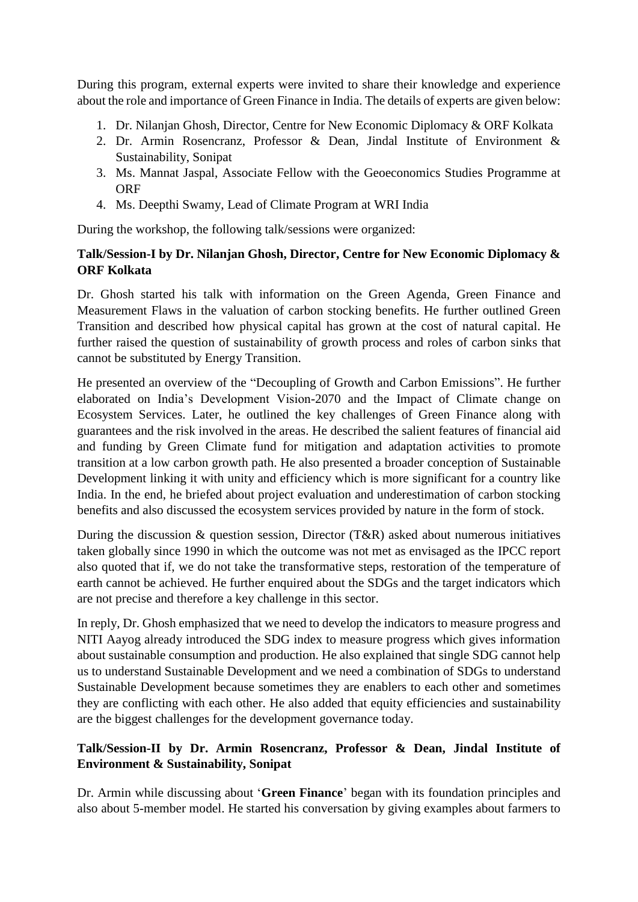During this program, external experts were invited to share their knowledge and experience about the role and importance of Green Finance in India. The details of experts are given below:

- 1. Dr. Nilanjan Ghosh, Director, Centre for New Economic Diplomacy & ORF Kolkata
- 2. Dr. Armin Rosencranz, Professor & Dean, Jindal Institute of Environment & Sustainability, Sonipat
- 3. Ms. Mannat Jaspal, Associate Fellow with the Geoeconomics Studies Programme at **ORF**
- 4. Ms. Deepthi Swamy, Lead of Climate Program at WRI India

During the workshop, the following talk/sessions were organized:

### **Talk/Session-I by Dr. Nilanjan Ghosh, Director, Centre for New Economic Diplomacy & ORF Kolkata**

Dr. Ghosh started his talk with information on the Green Agenda, Green Finance and Measurement Flaws in the valuation of carbon stocking benefits. He further outlined Green Transition and described how physical capital has grown at the cost of natural capital. He further raised the question of sustainability of growth process and roles of carbon sinks that cannot be substituted by Energy Transition.

He presented an overview of the "Decoupling of Growth and Carbon Emissions". He further elaborated on India's Development Vision-2070 and the Impact of Climate change on Ecosystem Services. Later, he outlined the key challenges of Green Finance along with guarantees and the risk involved in the areas. He described the salient features of financial aid and funding by Green Climate fund for mitigation and adaptation activities to promote transition at a low carbon growth path. He also presented a broader conception of Sustainable Development linking it with unity and efficiency which is more significant for a country like India. In the end, he briefed about project evaluation and underestimation of carbon stocking benefits and also discussed the ecosystem services provided by nature in the form of stock.

During the discussion & question session, Director (T&R) asked about numerous initiatives taken globally since 1990 in which the outcome was not met as envisaged as the IPCC report also quoted that if, we do not take the transformative steps, restoration of the temperature of earth cannot be achieved. He further enquired about the SDGs and the target indicators which are not precise and therefore a key challenge in this sector.

In reply, Dr. Ghosh emphasized that we need to develop the indicators to measure progress and NITI Aayog already introduced the SDG index to measure progress which gives information about sustainable consumption and production. He also explained that single SDG cannot help us to understand Sustainable Development and we need a combination of SDGs to understand Sustainable Development because sometimes they are enablers to each other and sometimes they are conflicting with each other. He also added that equity efficiencies and sustainability are the biggest challenges for the development governance today.

# **Talk/Session-II by Dr. Armin Rosencranz, Professor & Dean, Jindal Institute of Environment & Sustainability, Sonipat**

Dr. Armin while discussing about '**Green Finance**' began with its foundation principles and also about 5-member model. He started his conversation by giving examples about farmers to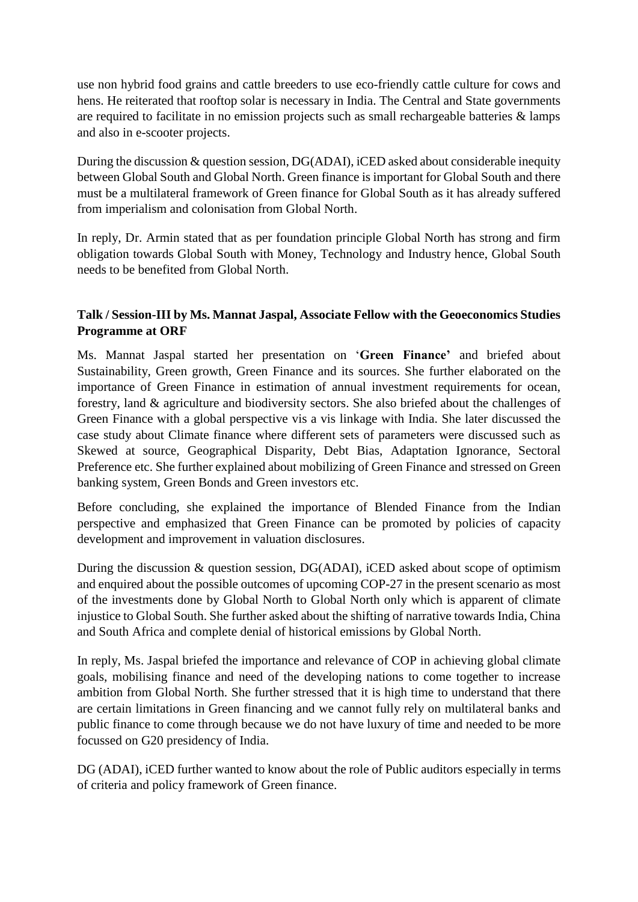use non hybrid food grains and cattle breeders to use eco-friendly cattle culture for cows and hens. He reiterated that rooftop solar is necessary in India. The Central and State governments are required to facilitate in no emission projects such as small rechargeable batteries & lamps and also in e-scooter projects.

During the discussion & question session, DG(ADAI), iCED asked about considerable inequity between Global South and Global North. Green finance is important for Global South and there must be a multilateral framework of Green finance for Global South as it has already suffered from imperialism and colonisation from Global North.

In reply, Dr. Armin stated that as per foundation principle Global North has strong and firm obligation towards Global South with Money, Technology and Industry hence, Global South needs to be benefited from Global North.

### **Talk / Session-III by Ms. Mannat Jaspal, Associate Fellow with the Geoeconomics Studies Programme at ORF**

Ms. Mannat Jaspal started her presentation on '**Green Finance'** and briefed about Sustainability, Green growth, Green Finance and its sources. She further elaborated on the importance of Green Finance in estimation of annual investment requirements for ocean, forestry, land & agriculture and biodiversity sectors. She also briefed about the challenges of Green Finance with a global perspective vis a vis linkage with India. She later discussed the case study about Climate finance where different sets of parameters were discussed such as Skewed at source, Geographical Disparity, Debt Bias, Adaptation Ignorance, Sectoral Preference etc. She further explained about mobilizing of Green Finance and stressed on Green banking system, Green Bonds and Green investors etc.

Before concluding, she explained the importance of Blended Finance from the Indian perspective and emphasized that Green Finance can be promoted by policies of capacity development and improvement in valuation disclosures.

During the discussion & question session, DG(ADAI), iCED asked about scope of optimism and enquired about the possible outcomes of upcoming COP-27 in the present scenario as most of the investments done by Global North to Global North only which is apparent of climate injustice to Global South. She further asked about the shifting of narrative towards India, China and South Africa and complete denial of historical emissions by Global North.

In reply, Ms. Jaspal briefed the importance and relevance of COP in achieving global climate goals, mobilising finance and need of the developing nations to come together to increase ambition from Global North. She further stressed that it is high time to understand that there are certain limitations in Green financing and we cannot fully rely on multilateral banks and public finance to come through because we do not have luxury of time and needed to be more focussed on G20 presidency of India.

DG (ADAI), iCED further wanted to know about the role of Public auditors especially in terms of criteria and policy framework of Green finance.